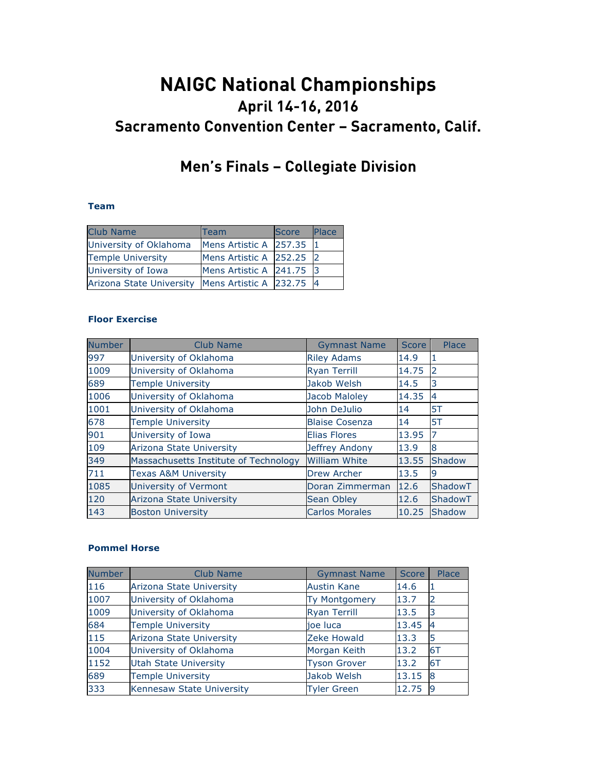# **NAIGC National Championships April 14-16, 2016 Sacramento Convention Center – Sacramento, Calif.**

## **Men's Finals – Collegiate Division**

#### **Team**

| <b>Club Name</b>                                    | Team                     | <b>Score</b> | <b>Place</b> |
|-----------------------------------------------------|--------------------------|--------------|--------------|
| University of Oklahoma                              | Mens Artistic A 257.35 1 |              |              |
| <b>Temple University</b>                            | Mens Artistic A 252.25 2 |              |              |
| University of Iowa                                  | Mens Artistic A 241.75 3 |              |              |
| Arizona State University   Mens Artistic A 232.75 4 |                          |              |              |

#### **Floor Exercise**

| Number | <b>Club Name</b>                      | <b>Gymnast Name</b>   | <b>Score</b> | Place         |
|--------|---------------------------------------|-----------------------|--------------|---------------|
| 997    | University of Oklahoma                | <b>Riley Adams</b>    | 14.9         | 1             |
| 1009   | University of Oklahoma                | <b>Ryan Terrill</b>   | 14.75        | 2             |
| 689    | <b>Temple University</b>              | Jakob Welsh           | 14.5         | 3             |
| 1006   | University of Oklahoma                | Jacob Maloley         | 14.35        | 4             |
| 1001   | University of Oklahoma                | John DeJulio          | 14           | 5T            |
| 678    | <b>Temple University</b>              | <b>Blaise Cosenza</b> | 14           | 5T            |
| 901    | University of Iowa                    | <b>Elias Flores</b>   | 13.95        | 7             |
| 109    | <b>Arizona State University</b>       | Jeffrey Andony        | 13.9         | 8             |
| 349    | Massachusetts Institute of Technology | <b>William White</b>  | 13.55        | <b>Shadow</b> |
| 711    | <b>Texas A&amp;M University</b>       | <b>Drew Archer</b>    | 13.5         | 9             |
| 1085   | University of Vermont                 | Doran Zimmerman       | 12.6         | ShadowT       |
| 120    | <b>Arizona State University</b>       | Sean Obley            | 12.6         | ShadowT       |
| 143    | <b>Boston University</b>              | <b>Carlos Morales</b> | 10.25        | <b>Shadow</b> |

#### **Pommel Horse**

| <b>Number</b> | Club Name                    | <b>Gymnast Name</b>  | Score | Place    |
|---------------|------------------------------|----------------------|-------|----------|
| 116           | Arizona State University     | <b>Austin Kane</b>   | 14.6  |          |
| 1007          | University of Oklahoma       | <b>Ty Montgomery</b> | 13.7  |          |
| 1009          | University of Oklahoma       | <b>Ryan Terrill</b>  | 13.5  | 3        |
| 684           | <b>Temple University</b>     | joe luca             | 13.45 | 4        |
| 115           | Arizona State University     | Zeke Howald          | 13.3  | 5        |
| 1004          | University of Oklahoma       | Morgan Keith         | 13.2  | 6T       |
| 1152          | <b>Utah State University</b> | <b>Tyson Grover</b>  | 13.2  | 6T       |
| 689           | <b>Temple University</b>     | Jakob Welsh          | 13.15 | 8        |
| 333           | Kennesaw State University    | <b>Tyler Green</b>   | 12.75 | <b>g</b> |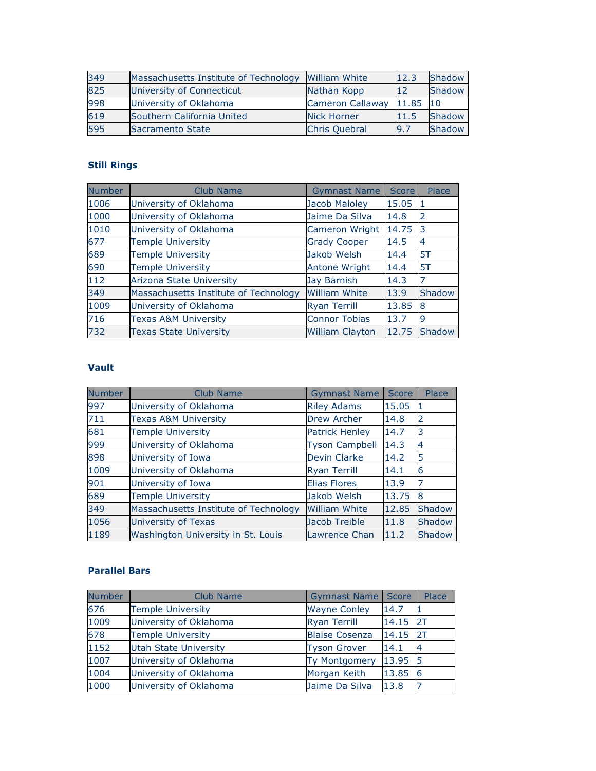| 349 | Massachusetts Institute of Technology | William White        | 12.3  | Shadow |
|-----|---------------------------------------|----------------------|-------|--------|
| 825 | University of Connecticut             | Nathan Kopp          | 12    | Shadow |
| 998 | University of Oklahoma                | Cameron Callaway     | 11.85 | 10     |
| 619 | Southern California United            | Nick Horner          | 11.5  | Shadow |
| 595 | Sacramento State                      | <b>Chris Quebral</b> | 9.7   | Shadow |

## **Still Rings**

| Number | <b>Club Name</b>                      | <b>Gymnast Name</b>    | Score | Place  |
|--------|---------------------------------------|------------------------|-------|--------|
| 1006   | University of Oklahoma                | <b>Jacob Maloley</b>   | 15.05 | Т      |
| 1000   | University of Oklahoma                | Jaime Da Silva         | 14.8  | 2      |
| 1010   | University of Oklahoma                | Cameron Wright         | 14.75 | 3      |
| 677    | <b>Temple University</b>              | <b>Grady Cooper</b>    | 14.5  | 4      |
| 689    | <b>Temple University</b>              | Jakob Welsh            | 14.4  | 5T     |
| 690    | <b>Temple University</b>              | Antone Wright          | 14.4  | 5T     |
| 112    | <b>Arizona State University</b>       | Jay Barnish            | 14.3  |        |
| 349    | Massachusetts Institute of Technology | <b>William White</b>   | 13.9  | Shadow |
| 1009   | University of Oklahoma                | <b>Ryan Terrill</b>    | 13.85 | 8      |
| 716    | <b>Texas A&amp;M University</b>       | <b>Connor Tobias</b>   | 13.7  | 9      |
| 732    | <b>Texas State University</b>         | <b>William Clayton</b> | 12.75 | Shadow |

### **Vault**

| <b>Number</b> | Club Name                             | <b>Gymnast Name</b>   | <b>Score</b> | Place         |
|---------------|---------------------------------------|-----------------------|--------------|---------------|
| 997           | University of Oklahoma                | <b>Riley Adams</b>    | 15.05        |               |
| 711           | <b>Texas A&amp;M University</b>       | Drew Archer           | 14.8         | 2             |
| 681           | <b>Temple University</b>              | <b>Patrick Henley</b> | 14.7         | 3             |
| 999           | University of Oklahoma                | <b>Tyson Campbell</b> | 14.3         |               |
| 898           | University of Iowa                    | Devin Clarke          | 14.2         | 5             |
| 1009          | University of Oklahoma                | <b>Ryan Terrill</b>   | 14.1         | 6             |
| 901           | University of Iowa                    | <b>Elias Flores</b>   | 13.9         |               |
| 689           | <b>Temple University</b>              | Jakob Welsh           | 13.75        | 8             |
| 349           | Massachusetts Institute of Technology | <b>William White</b>  | 12.85        | Shadow        |
| 1056          | University of Texas                   | Jacob Treible         | 11.8         | Shadow        |
| 1189          | Washington University in St. Louis    | Lawrence Chan         | 11.2         | <b>Shadow</b> |

#### **Parallel Bars**

| <b>Number</b> | <b>Club Name</b>             | <b>Gymnast Name</b>   | <b>Score</b> | Place |
|---------------|------------------------------|-----------------------|--------------|-------|
| 676           | <b>Temple University</b>     | <b>Wayne Conley</b>   | 14.7         |       |
| 1009          | University of Oklahoma       | <b>Ryan Terrill</b>   | 14.15        | 2T    |
| 678           | <b>Temple University</b>     | <b>Blaise Cosenza</b> | 14.15        | 2T    |
| 1152          | <b>Utah State University</b> | <b>Tyson Grover</b>   | 14.1         |       |
| 1007          | University of Oklahoma       | <b>Ty Montgomery</b>  | 13.95        | 15    |
| 1004          | University of Oklahoma       | Morgan Keith          | 13.85        | 6     |
| 1000          | University of Oklahoma       | Jaime Da Silva        | 13.8         |       |